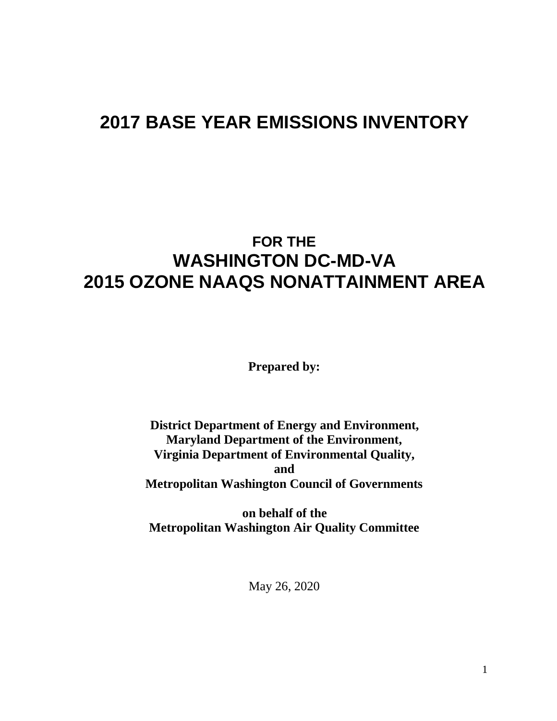# **2017 BASE YEAR EMISSIONS INVENTORY**

# **FOR THE WASHINGTON DC-MD-VA 2015 OZONE NAAQS NONATTAINMENT AREA**

**Prepared by:**

**District Department of Energy and Environment, Maryland Department of the Environment, Virginia Department of Environmental Quality, and Metropolitan Washington Council of Governments**

**on behalf of the Metropolitan Washington Air Quality Committee**

May 26, 2020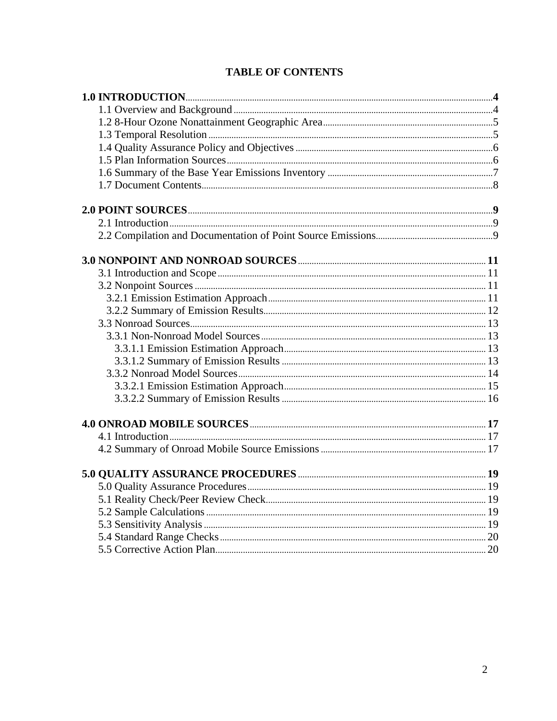# **TABLE OF CONTENTS**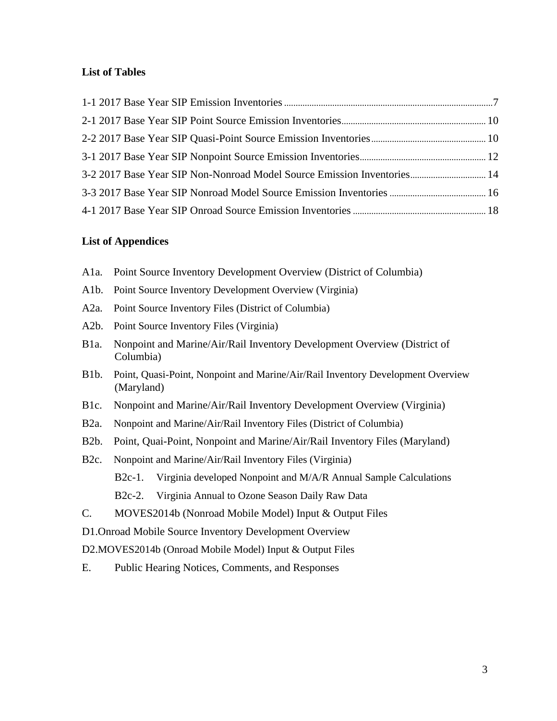### **List of Tables**

| 3-2 2017 Base Year SIP Non-Nonroad Model Source Emission Inventories 14 |  |
|-------------------------------------------------------------------------|--|
|                                                                         |  |
|                                                                         |  |

#### **List of Appendices**

- A1a. Point Source Inventory Development Overview (District of Columbia)
- A1b. Point Source Inventory Development Overview (Virginia)
- A2a. Point Source Inventory Files (District of Columbia)
- A2b. Point Source Inventory Files (Virginia)
- B1a. Nonpoint and Marine/Air/Rail Inventory Development Overview (District of Columbia)
- B1b. Point, Quasi-Point, Nonpoint and Marine/Air/Rail Inventory Development Overview (Maryland)
- B1c. Nonpoint and Marine/Air/Rail Inventory Development Overview (Virginia)
- B2a. Nonpoint and Marine/Air/Rail Inventory Files (District of Columbia)
- B2b. Point, Quai-Point, Nonpoint and Marine/Air/Rail Inventory Files (Maryland)
- B2c. Nonpoint and Marine/Air/Rail Inventory Files (Virginia) B2c-1. Virginia developed Nonpoint and M/A/R Annual Sample Calculations B2c-2. Virginia Annual to Ozone Season Daily Raw Data
- C. MOVES2014b (Nonroad Mobile Model) Input & Output Files
- D1.Onroad Mobile Source Inventory Development Overview
- D2.MOVES2014b (Onroad Mobile Model) Input & Output Files
- E. Public Hearing Notices, Comments, and Responses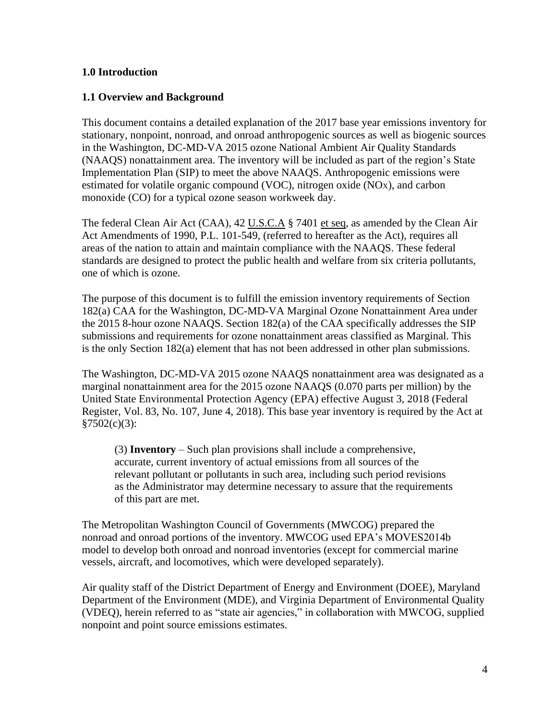### **1.0 Introduction**

### **1.1 Overview and Background**

This document contains a detailed explanation of the 2017 base year emissions inventory for stationary, nonpoint, nonroad, and onroad anthropogenic sources as well as biogenic sources in the Washington, DC-MD-VA 2015 ozone National Ambient Air Quality Standards (NAAQS) nonattainment area. The inventory will be included as part of the region's State Implementation Plan (SIP) to meet the above NAAQS. Anthropogenic emissions were estimated for volatile organic compound (VOC), nitrogen oxide (NOX), and carbon monoxide (CO) for a typical ozone season workweek day.

The federal Clean Air Act (CAA), 42 U.S.C.A § 7401 et seq, as amended by the Clean Air Act Amendments of 1990, P.L. 101-549, (referred to hereafter as the Act), requires all areas of the nation to attain and maintain compliance with the NAAQS. These federal standards are designed to protect the public health and welfare from six criteria pollutants, one of which is ozone.

The purpose of this document is to fulfill the emission inventory requirements of Section 182(a) CAA for the Washington, DC-MD-VA Marginal Ozone Nonattainment Area under the 2015 8-hour ozone NAAQS. Section 182(a) of the CAA specifically addresses the SIP submissions and requirements for ozone nonattainment areas classified as Marginal. This is the only Section 182(a) element that has not been addressed in other plan submissions.

The Washington, DC-MD-VA 2015 ozone NAAQS nonattainment area was designated as a marginal nonattainment area for the 2015 ozone NAAQS (0.070 parts per million) by the United State Environmental Protection Agency (EPA) effective August 3, 2018 (Federal Register, Vol. 83, No. 107, June 4, 2018). This base year inventory is required by the Act at  $§7502(c)(3):$ 

(3) **Inventory** – Such plan provisions shall include a comprehensive, accurate, current inventory of actual emissions from all sources of the relevant pollutant or pollutants in such area, including such period revisions as the Administrator may determine necessary to assure that the requirements of this part are met.

The Metropolitan Washington Council of Governments (MWCOG) prepared the nonroad and onroad portions of the inventory. MWCOG used EPA's MOVES2014b model to develop both onroad and nonroad inventories (except for commercial marine vessels, aircraft, and locomotives, which were developed separately).

Air quality staff of the District Department of Energy and Environment (DOEE), Maryland Department of the Environment (MDE), and Virginia Department of Environmental Quality (VDEQ), herein referred to as "state air agencies," in collaboration with MWCOG, supplied nonpoint and point source emissions estimates.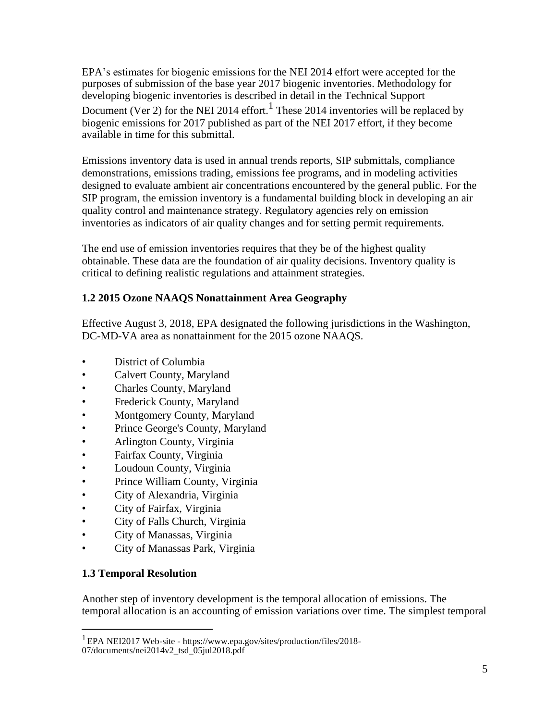EPA's estimates for biogenic emissions for the NEI 2014 effort were accepted for the purposes of submission of the base year 2017 biogenic inventories. Methodology for developing biogenic inventories is described in detail in the Technical Support Document (Ver 2) for the NEI 2014 effort.<sup>1</sup> These 2014 inventories will be replaced by biogenic emissions for 2017 published as part of the NEI 2017 effort, if they become available in time for this submittal.

Emissions inventory data is used in annual trends reports, SIP submittals, compliance demonstrations, emissions trading, emissions fee programs, and in modeling activities designed to evaluate ambient air concentrations encountered by the general public. For the SIP program, the emission inventory is a fundamental building block in developing an air quality control and maintenance strategy. Regulatory agencies rely on emission inventories as indicators of air quality changes and for setting permit requirements.

The end use of emission inventories requires that they be of the highest quality obtainable. These data are the foundation of air quality decisions. Inventory quality is critical to defining realistic regulations and attainment strategies.

### **1.2 2015 Ozone NAAQS Nonattainment Area Geography**

Effective August 3, 2018, EPA designated the following jurisdictions in the Washington, DC-MD-VA area as nonattainment for the 2015 ozone NAAQS.

- District of Columbia
- Calvert County, Maryland
- Charles County, Maryland
- Frederick County, Maryland
- Montgomery County, Maryland
- Prince George's County, Maryland
- Arlington County, Virginia
- Fairfax County, Virginia
- Loudoun County, Virginia
- Prince William County, Virginia
- City of Alexandria, Virginia
- City of Fairfax, Virginia
- City of Falls Church, Virginia
- City of Manassas, Virginia
- City of Manassas Park, Virginia

### **1.3 Temporal Resolution**

Another step of inventory development is the temporal allocation of emissions. The temporal allocation is an accounting of emission variations over time. The simplest temporal

<sup>1</sup>EPA NEI2017 Web-site - https://www.epa.gov/sites/production/files/2018-

<sup>07/</sup>documents/nei2014v2\_tsd\_05jul2018.pdf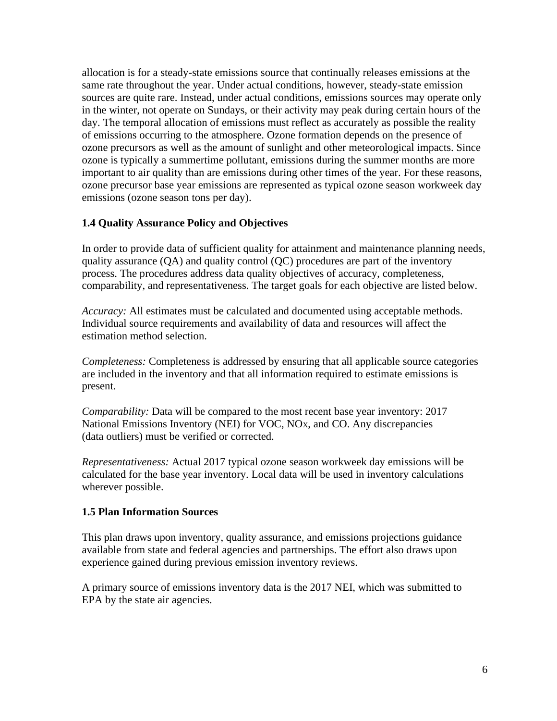allocation is for a steady-state emissions source that continually releases emissions at the same rate throughout the year. Under actual conditions, however, steady-state emission sources are quite rare. Instead, under actual conditions, emissions sources may operate only in the winter, not operate on Sundays, or their activity may peak during certain hours of the day. The temporal allocation of emissions must reflect as accurately as possible the reality of emissions occurring to the atmosphere. Ozone formation depends on the presence of ozone precursors as well as the amount of sunlight and other meteorological impacts. Since ozone is typically a summertime pollutant, emissions during the summer months are more important to air quality than are emissions during other times of the year. For these reasons, ozone precursor base year emissions are represented as typical ozone season workweek day emissions (ozone season tons per day).

### **1.4 Quality Assurance Policy and Objectives**

In order to provide data of sufficient quality for attainment and maintenance planning needs, quality assurance (QA) and quality control (QC) procedures are part of the inventory process. The procedures address data quality objectives of accuracy, completeness, comparability, and representativeness. The target goals for each objective are listed below.

*Accuracy:* All estimates must be calculated and documented using acceptable methods. Individual source requirements and availability of data and resources will affect the estimation method selection.

*Completeness:* Completeness is addressed by ensuring that all applicable source categories are included in the inventory and that all information required to estimate emissions is present.

*Comparability:* Data will be compared to the most recent base year inventory: 2017 National Emissions Inventory (NEI) for VOC, NOX, and CO. Any discrepancies (data outliers) must be verified or corrected.

*Representativeness:* Actual 2017 typical ozone season workweek day emissions will be calculated for the base year inventory. Local data will be used in inventory calculations wherever possible.

### **1.5 Plan Information Sources**

This plan draws upon inventory, quality assurance, and emissions projections guidance available from state and federal agencies and partnerships. The effort also draws upon experience gained during previous emission inventory reviews.

A primary source of emissions inventory data is the 2017 NEI, which was submitted to EPA by the state air agencies.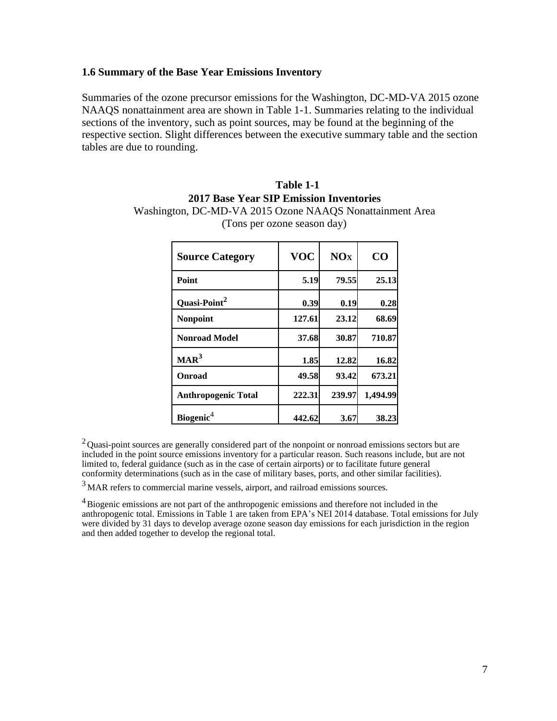#### **1.6 Summary of the Base Year Emissions Inventory**

Summaries of the ozone precursor emissions for the Washington, DC-MD-VA 2015 ozone NAAQS nonattainment area are shown in Table 1-1. Summaries relating to the individual sections of the inventory, such as point sources, may be found at the beginning of the respective section. Slight differences between the executive summary table and the section tables are due to rounding.

### **Table 1-1 2017 Base Year SIP Emission Inventories** Washington, DC-MD-VA 2015 Ozone NAAQS Nonattainment Area (Tons per ozone season day)

| <b>Source Category</b>     | <b>VOC</b> | NOx    | CO       |
|----------------------------|------------|--------|----------|
| Point                      | 5.19       | 79.55  | 25.13    |
| Quasi-Point <sup>2</sup>   | 0.39       | 0.19   | 0.28     |
| <b>Nonpoint</b>            | 127.61     | 23.12  | 68.69    |
| <b>Nonroad Model</b>       | 37.68      | 30.87  | 710.87   |
| $\text{MAR}^3$             | 1.85       | 12.82  | 16.82    |
| Onroad                     | 49.58      | 93.42  | 673.21   |
| <b>Anthropogenic Total</b> | 222.31     | 239.97 | 1,494.99 |
| Biogenic <sup>4</sup>      | 442.62     | 3.67   | 38.23    |

<sup>2</sup> Quasi-point sources are generally considered part of the nonpoint or nonroad emissions sectors but are included in the point source emissions inventory for a particular reason. Such reasons include, but are not limited to, federal guidance (such as in the case of certain airports) or to facilitate future general conformity determinations (such as in the case of military bases, ports, and other similar facilities).

<sup>3</sup> MAR refers to commercial marine vessels, airport, and railroad emissions sources.

 $^{4}$ Biogenic emissions are not part of the anthropogenic emissions and therefore not included in the anthropogenic total. Emissions in Table 1 are taken from EPA's NEI 2014 database. Total emissions for July were divided by 31 days to develop average ozone season day emissions for each jurisdiction in the region and then added together to develop the regional total.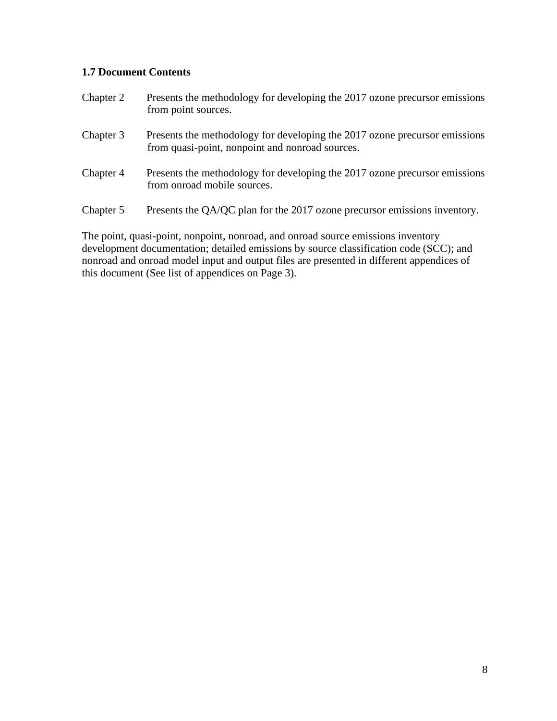### **1.7 Document Contents**

| Chapter 2 | Presents the methodology for developing the 2017 ozone precursor emissions<br>from point sources.                             |
|-----------|-------------------------------------------------------------------------------------------------------------------------------|
| Chapter 3 | Presents the methodology for developing the 2017 ozone precursor emissions<br>from quasi-point, nonpoint and nonroad sources. |
| Chapter 4 | Presents the methodology for developing the 2017 ozone precursor emissions<br>from onroad mobile sources.                     |
| Chapter 5 | Presents the QA/QC plan for the 2017 ozone precursor emissions inventory.                                                     |

The point, quasi-point, nonpoint, nonroad, and onroad source emissions inventory development documentation; detailed emissions by source classification code (SCC); and nonroad and onroad model input and output files are presented in different appendices of this document (See list of appendices on Page 3).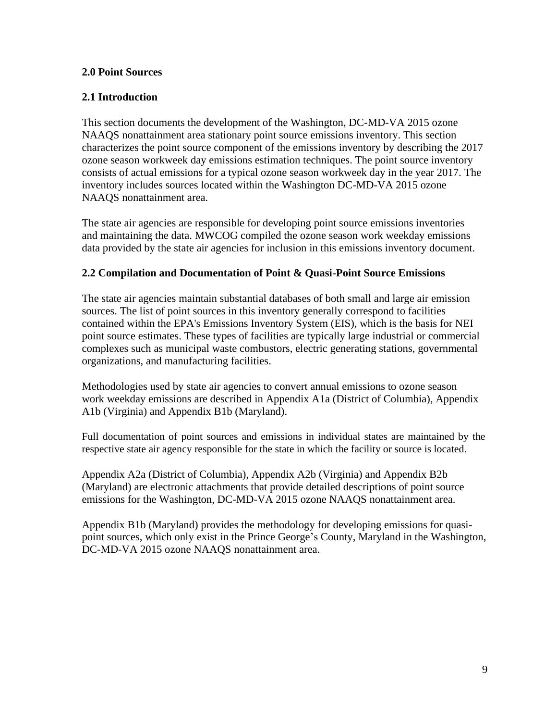### **2.0 Point Sources**

### **2.1 Introduction**

This section documents the development of the Washington, DC-MD-VA 2015 ozone NAAQS nonattainment area stationary point source emissions inventory. This section characterizes the point source component of the emissions inventory by describing the 2017 ozone season workweek day emissions estimation techniques. The point source inventory consists of actual emissions for a typical ozone season workweek day in the year 2017. The inventory includes sources located within the Washington DC-MD-VA 2015 ozone NAAQS nonattainment area.

The state air agencies are responsible for developing point source emissions inventories and maintaining the data. MWCOG compiled the ozone season work weekday emissions data provided by the state air agencies for inclusion in this emissions inventory document.

### **2.2 Compilation and Documentation of Point & Quasi-Point Source Emissions**

The state air agencies maintain substantial databases of both small and large air emission sources. The list of point sources in this inventory generally correspond to facilities contained within the EPA's Emissions Inventory System (EIS), which is the basis for NEI point source estimates. These types of facilities are typically large industrial or commercial complexes such as municipal waste combustors, electric generating stations, governmental organizations, and manufacturing facilities.

Methodologies used by state air agencies to convert annual emissions to ozone season work weekday emissions are described in Appendix A1a (District of Columbia), Appendix A1b (Virginia) and Appendix B1b (Maryland).

Full documentation of point sources and emissions in individual states are maintained by the respective state air agency responsible for the state in which the facility or source is located.

Appendix A2a (District of Columbia), Appendix A2b (Virginia) and Appendix B2b (Maryland) are electronic attachments that provide detailed descriptions of point source emissions for the Washington, DC-MD-VA 2015 ozone NAAQS nonattainment area.

Appendix B1b (Maryland) provides the methodology for developing emissions for quasipoint sources, which only exist in the Prince George's County, Maryland in the Washington, DC-MD-VA 2015 ozone NAAQS nonattainment area.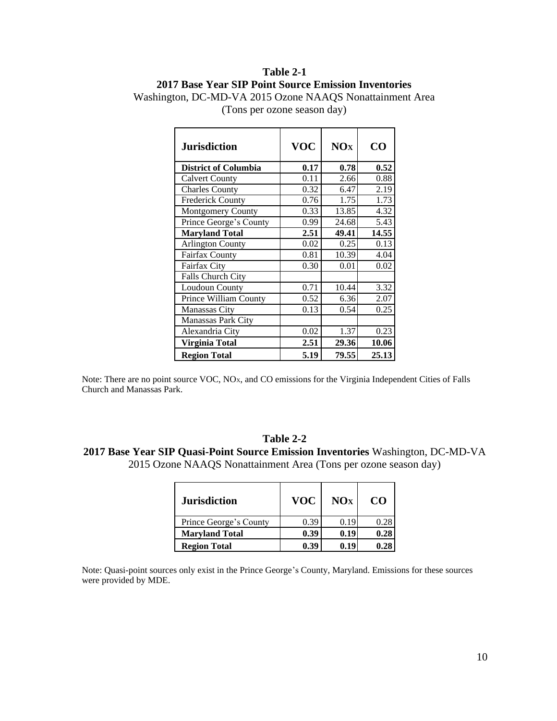# **Table 2-1 2017 Base Year SIP Point Source Emission Inventories**

| <b>Jurisdiction</b>          | <b>VOC</b> | NOx   | CO    |
|------------------------------|------------|-------|-------|
| <b>District of Columbia</b>  | 0.17       | 0.78  | 0.52  |
| <b>Calvert County</b>        | 0.11       | 2.66  | 0.88  |
| <b>Charles County</b>        | 0.32       | 6.47  | 2.19  |
| <b>Frederick County</b>      | 0.76       | 1.75  | 1.73  |
| <b>Montgomery County</b>     | 0.33       | 13.85 | 4.32  |
| Prince George's County       | 0.99       | 24.68 | 5.43  |
| <b>Maryland Total</b>        | 2.51       | 49.41 | 14.55 |
| <b>Arlington County</b>      | 0.02       | 0.25  | 0.13  |
| <b>Fairfax County</b>        | 0.81       | 10.39 | 4.04  |
| Fairfax City                 | 0.30       | 0.01  | 0.02  |
| <b>Falls Church City</b>     |            |       |       |
| Loudoun County               | 0.71       | 10.44 | 3.32  |
| <b>Prince William County</b> | 0.52       | 6.36  | 2.07  |
| Manassas City                | 0.13       | 0.54  | 0.25  |
| <b>Manassas Park City</b>    |            |       |       |
| Alexandria City              | 0.02       | 1.37  | 0.23  |
| Virginia Total               | 2.51       | 29.36 | 10.06 |
| <b>Region Total</b>          | 5.19       | 79.55 | 25.13 |

Washington, DC-MD-VA 2015 Ozone NAAQS Nonattainment Area (Tons per ozone season day)

Note: There are no point source VOC, NOX, and CO emissions for the Virginia Independent Cities of Falls Church and Manassas Park.

#### **Table 2-2**

**2017 Base Year SIP Quasi-Point Source Emission Inventories** Washington, DC-MD-VA 2015 Ozone NAAQS Nonattainment Area (Tons per ozone season day)

| <b>Jurisdiction</b>    | <b>VOC</b> | NOx  | CO.  |
|------------------------|------------|------|------|
| Prince George's County | 0.39       | 0.19 | 0.28 |
| <b>Maryland Total</b>  | 0.39       | 0.19 | 0.28 |
| <b>Region Total</b>    | 0.39       | 0.19 | 0.28 |

Note: Quasi-point sources only exist in the Prince George's County, Maryland. Emissions for these sources were provided by MDE.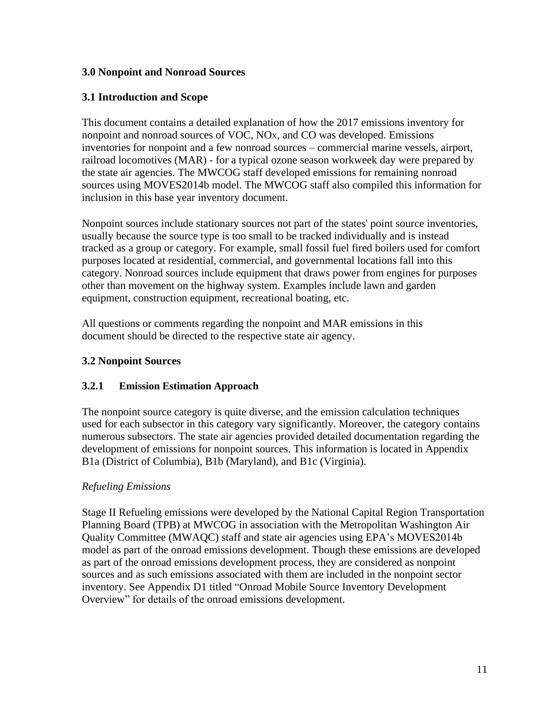### **3.0 Nonpoint and Nonroad Sources**

## **3.1 Introduction and Scope**

This document contains a detailed explanation of how the 2017 emissions inventory for nonpoint and nonroad sources of VOC, NOX, and CO was developed. Emissions inventories for nonpoint and a few nonroad sources – commercial marine vessels, airport, railroad locomotives (MAR) - for a typical ozone season workweek day were prepared by the state air agencies. The MWCOG staff developed emissions for remaining nonroad sources using MOVES2014b model. The MWCOG staff also compiled this information for inclusion in this base year inventory document.

Nonpoint sources include stationary sources not part of the states' point source inventories, usually because the source type is too small to be tracked individually and is instead tracked as a group or category. For example, small fossil fuel fired boilers used for comfort purposes located at residential, commercial, and governmental locations fall into this category. Nonroad sources include equipment that draws power from engines for purposes other than movement on the highway system. Examples include lawn and garden equipment, construction equipment, recreational boating, etc.

All questions or comments regarding the nonpoint and MAR emissions in this document should be directed to the respective state air agency.

### **3.2 Nonpoint Sources**

### **3.2.1 Emission Estimation Approach**

The nonpoint source category is quite diverse, and the emission calculation techniques used for each subsector in this category vary significantly. Moreover, the category contains numerous subsectors. The state air agencies provided detailed documentation regarding the development of emissions for nonpoint sources. This information is located in Appendix B1a (District of Columbia), B1b (Maryland), and B1c (Virginia).

### *Refueling Emissions*

Stage II Refueling emissions were developed by the National Capital Region Transportation Planning Board (TPB) at MWCOG in association with the Metropolitan Washington Air Quality Committee (MWAQC) staff and state air agencies using EPA's MOVES2014b model as part of the onroad emissions development. Though these emissions are developed as part of the onroad emissions development process, they are considered as nonpoint sources and as such emissions associated with them are included in the nonpoint sector inventory. See Appendix D1 titled "Onroad Mobile Source Inventory Development Overview" for details of the onroad emissions development.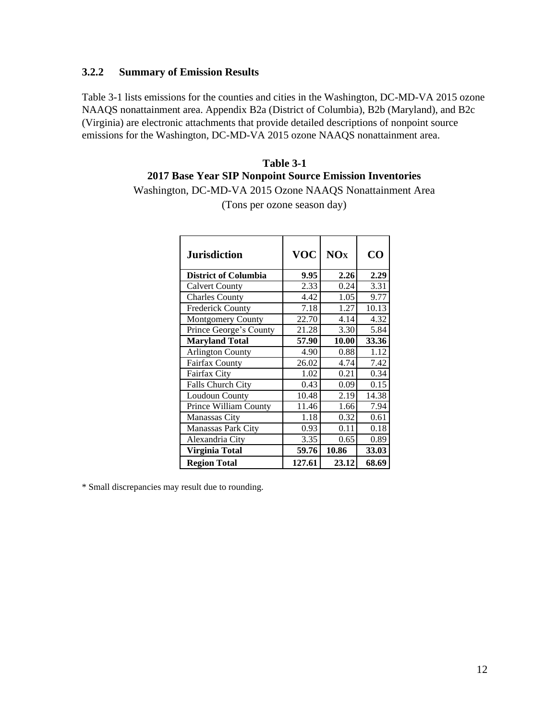### **3.2.2 Summary of Emission Results**

Table 3-1 lists emissions for the counties and cities in the Washington, DC-MD-VA 2015 ozone NAAQS nonattainment area. Appendix B2a (District of Columbia), B2b (Maryland), and B2c (Virginia) are electronic attachments that provide detailed descriptions of nonpoint source emissions for the Washington, DC-MD-VA 2015 ozone NAAQS nonattainment area.

# **Table 3-1 2017 Base Year SIP Nonpoint Source Emission Inventories**

Washington, DC-MD-VA 2015 Ozone NAAQS Nonattainment Area

| <b>Jurisdiction</b>          | <b>VOC</b> | NOx   | CΟ    |
|------------------------------|------------|-------|-------|
| <b>District of Columbia</b>  | 9.95       | 2.26  | 2.29  |
| <b>Calvert County</b>        | 2.33       | 0.24  | 3.31  |
| <b>Charles County</b>        | 4.42       | 1.05  | 9.77  |
| <b>Frederick County</b>      | 7.18       | 1.27  | 10.13 |
| <b>Montgomery County</b>     | 22.70      | 4.14  | 4.32  |
| Prince George's County       | 21.28      | 3.30  | 5.84  |
| <b>Maryland Total</b>        | 57.90      | 10.00 | 33.36 |
| <b>Arlington County</b>      | 4.90       | 0.88  | 1.12  |
| <b>Fairfax County</b>        | 26.02      | 4.74  | 7.42  |
| Fairfax City                 | 1.02       | 0.21  | 0.34  |
| Falls Church City            | 0.43       | 0.09  | 0.15  |
| Loudoun County               | 10.48      | 2.19  | 14.38 |
| <b>Prince William County</b> | 11.46      | 1.66  | 7.94  |
| Manassas City                | 1.18       | 0.32  | 0.61  |
| Manassas Park City           | 0.93       | 0.11  | 0.18  |
| Alexandria City              | 3.35       | 0.65  | 0.89  |
| Virginia Total               | 59.76      | 10.86 | 33.03 |
| <b>Region Total</b>          | 127.61     | 23.12 | 68.69 |

(Tons per ozone season day)

\* Small discrepancies may result due to rounding.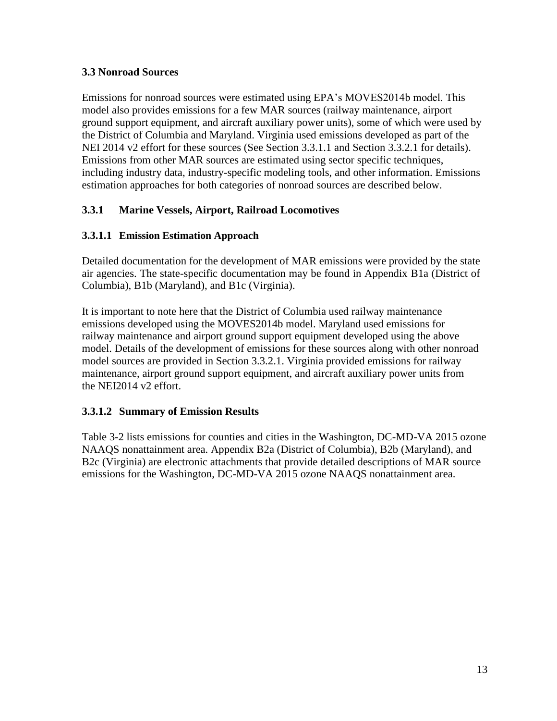### **3.3 Nonroad Sources**

Emissions for nonroad sources were estimated using EPA's MOVES2014b model. This model also provides emissions for a few MAR sources (railway maintenance, airport ground support equipment, and aircraft auxiliary power units), some of which were used by the District of Columbia and Maryland. Virginia used emissions developed as part of the NEI 2014 v2 effort for these sources (See Section 3.3.1.1 and Section 3.3.2.1 for details). Emissions from other MAR sources are estimated using sector specific techniques, including industry data, industry-specific modeling tools, and other information. Emissions estimation approaches for both categories of nonroad sources are described below.

# **3.3.1 Marine Vessels, Airport, Railroad Locomotives**

# **3.3.1.1 Emission Estimation Approach**

Detailed documentation for the development of MAR emissions were provided by the state air agencies. The state-specific documentation may be found in Appendix B1a (District of Columbia), B1b (Maryland), and B1c (Virginia).

It is important to note here that the District of Columbia used railway maintenance emissions developed using the MOVES2014b model. Maryland used emissions for railway maintenance and airport ground support equipment developed using the above model. Details of the development of emissions for these sources along with other nonroad model sources are provided in Section 3.3.2.1. Virginia provided emissions for railway maintenance, airport ground support equipment, and aircraft auxiliary power units from the NEI2014 v2 effort.

# **3.3.1.2 Summary of Emission Results**

Table 3-2 lists emissions for counties and cities in the Washington, DC-MD-VA 2015 ozone NAAQS nonattainment area. Appendix B2a (District of Columbia), B2b (Maryland), and B2c (Virginia) are electronic attachments that provide detailed descriptions of MAR source emissions for the Washington, DC-MD-VA 2015 ozone NAAQS nonattainment area.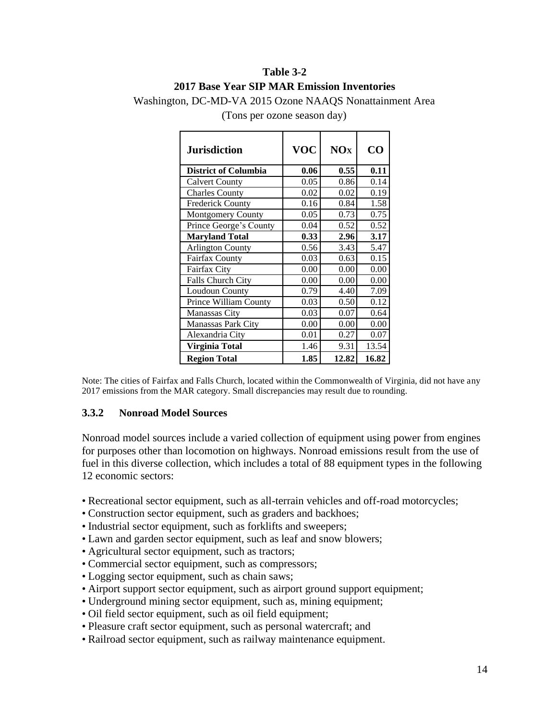# **Table 3-2 2017 Base Year SIP MAR Emission Inventories**

Washington, DC-MD-VA 2015 Ozone NAAQS Nonattainment Area

| <b>Jurisdiction</b>         | <b>VOC</b> | <b>NOx</b> | CO    |
|-----------------------------|------------|------------|-------|
| <b>District of Columbia</b> | 0.06       | 0.55       | 0.11  |
| <b>Calvert County</b>       | 0.05       | 0.86       | 0.14  |
| <b>Charles County</b>       | 0.02       | 0.02       | 0.19  |
| <b>Frederick County</b>     | 0.16       | 0.84       | 1.58  |
| Montgomery County           | 0.05       | 0.73       | 0.75  |
| Prince George's County      | 0.04       | 0.52       | 0.52  |
| <b>Maryland Total</b>       | 0.33       | 2.96       | 3.17  |
| <b>Arlington County</b>     | 0.56       | 3.43       | 5.47  |
| <b>Fairfax County</b>       | 0.03       | 0.63       | 0.15  |
| Fairfax City                | 0.00       | 0.00       | 0.00  |
| <b>Falls Church City</b>    | 0.00       | 0.00       | 0.00  |
| Loudoun County              | 0.79       | 4.40       | 7.09  |
| Prince William County       | 0.03       | 0.50       | 0.12  |
| Manassas City               | 0.03       | 0.07       | 0.64  |
| <b>Manassas Park City</b>   | 0.00       | 0.00       | 0.00  |
| Alexandria City             | 0.01       | 0.27       | 0.07  |
| Virginia Total              | 1.46       | 9.31       | 13.54 |
| <b>Region Total</b>         | 1.85       | 12.82      | 16.82 |

(Tons per ozone season day)

Note: The cities of Fairfax and Falls Church, located within the Commonwealth of Virginia, did not have any 2017 emissions from the MAR category. Small discrepancies may result due to rounding.

### **3.3.2 Nonroad Model Sources**

Nonroad model sources include a varied collection of equipment using power from engines for purposes other than locomotion on highways. Nonroad emissions result from the use of fuel in this diverse collection, which includes a total of 88 equipment types in the following 12 economic sectors:

- Recreational sector equipment, such as all-terrain vehicles and off-road motorcycles;
- Construction sector equipment, such as graders and backhoes;
- Industrial sector equipment, such as forklifts and sweepers;
- Lawn and garden sector equipment, such as leaf and snow blowers;
- Agricultural sector equipment, such as tractors;
- Commercial sector equipment, such as compressors;
- Logging sector equipment, such as chain saws;
- Airport support sector equipment, such as airport ground support equipment;
- Underground mining sector equipment, such as, mining equipment;
- Oil field sector equipment, such as oil field equipment;
- Pleasure craft sector equipment, such as personal watercraft; and
- Railroad sector equipment, such as railway maintenance equipment.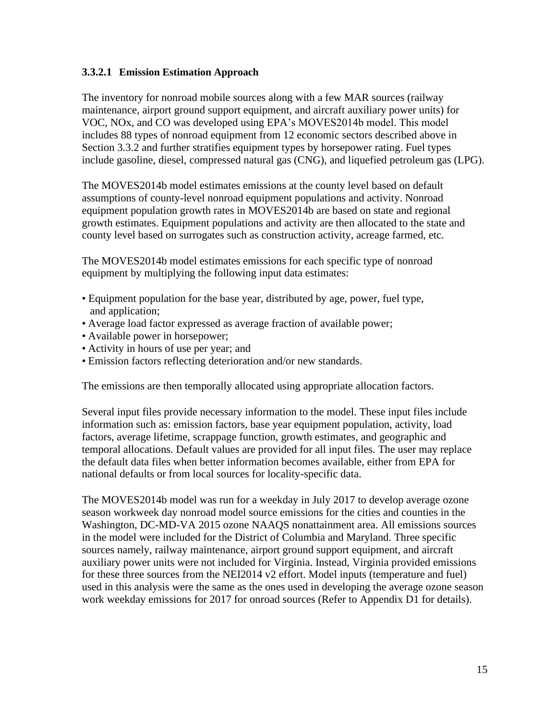### **3.3.2.1 Emission Estimation Approach**

The inventory for nonroad mobile sources along with a few MAR sources (railway maintenance, airport ground support equipment, and aircraft auxiliary power units) for VOC, NOx, and CO was developed using EPA's MOVES2014b model. This model includes 88 types of nonroad equipment from 12 economic sectors described above in Section 3.3.2 and further stratifies equipment types by horsepower rating. Fuel types include gasoline, diesel, compressed natural gas (CNG), and liquefied petroleum gas (LPG).

The MOVES2014b model estimates emissions at the county level based on default assumptions of county-level nonroad equipment populations and activity. Nonroad equipment population growth rates in MOVES2014b are based on state and regional growth estimates. Equipment populations and activity are then allocated to the state and county level based on surrogates such as construction activity, acreage farmed, etc.

The MOVES2014b model estimates emissions for each specific type of nonroad equipment by multiplying the following input data estimates:

- Equipment population for the base year, distributed by age, power, fuel type, and application;
- Average load factor expressed as average fraction of available power;
- Available power in horsepower;
- Activity in hours of use per year; and
- Emission factors reflecting deterioration and/or new standards.

The emissions are then temporally allocated using appropriate allocation factors.

Several input files provide necessary information to the model. These input files include information such as: emission factors, base year equipment population, activity, load factors, average lifetime, scrappage function, growth estimates, and geographic and temporal allocations. Default values are provided for all input files. The user may replace the default data files when better information becomes available, either from EPA for national defaults or from local sources for locality-specific data.

The MOVES2014b model was run for a weekday in July 2017 to develop average ozone season workweek day nonroad model source emissions for the cities and counties in the Washington, DC-MD-VA 2015 ozone NAAQS nonattainment area. All emissions sources in the model were included for the District of Columbia and Maryland. Three specific sources namely, railway maintenance, airport ground support equipment, and aircraft auxiliary power units were not included for Virginia. Instead, Virginia provided emissions for these three sources from the NEI2014 v2 effort. Model inputs (temperature and fuel) used in this analysis were the same as the ones used in developing the average ozone season work weekday emissions for 2017 for onroad sources (Refer to Appendix D1 for details).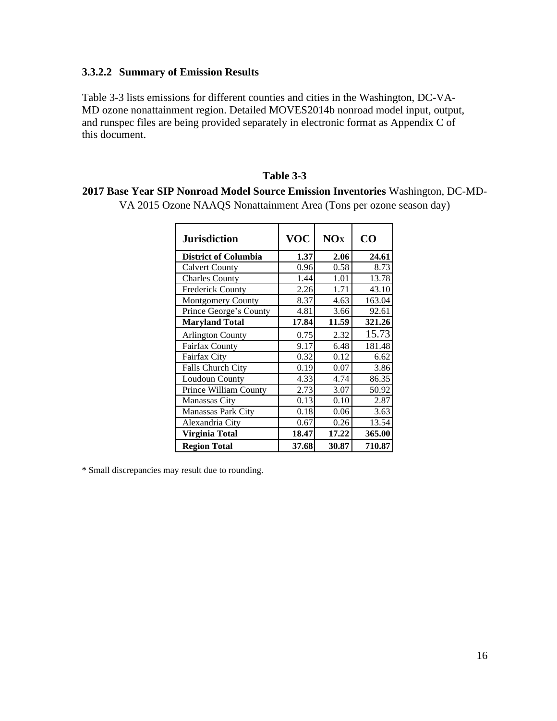### **3.3.2.2 Summary of Emission Results**

Table 3-3 lists emissions for different counties and cities in the Washington, DC-VA-MD ozone nonattainment region. Detailed MOVES2014b nonroad model input, output, and runspec files are being provided separately in electronic format as Appendix C of this document.

#### **Table 3-3**

### **2017 Base Year SIP Nonroad Model Source Emission Inventories** Washington, DC-MD-

VA 2015 Ozone NAAQS Nonattainment Area (Tons per ozone season day)

| <b>Jurisdiction</b>         | <b>VOC</b> | <b>NOx</b> | $\bf CO$ |
|-----------------------------|------------|------------|----------|
| <b>District of Columbia</b> | 1.37       | 2.06       | 24.61    |
| <b>Calvert County</b>       | 0.96       | 0.58       | 8.73     |
| <b>Charles County</b>       | 1.44       | 1.01       | 13.78    |
| <b>Frederick County</b>     | 2.26       | 1.71       | 43.10    |
| Montgomery County           | 8.37       | 4.63       | 163.04   |
| Prince George's County      | 4.81       | 3.66       | 92.61    |
| <b>Maryland Total</b>       | 17.84      | 11.59      | 321.26   |
| <b>Arlington County</b>     | 0.75       | 2.32       | 15.73    |
| <b>Fairfax County</b>       | 9.17       | 6.48       | 181.48   |
| Fairfax City                | 0.32       | 0.12       | 6.62     |
| <b>Falls Church City</b>    | 0.19       | 0.07       | 3.86     |
| Loudoun County              | 4.33       | 4.74       | 86.35    |
| Prince William County       | 2.73       | 3.07       | 50.92    |
| <b>Manassas City</b>        | 0.13       | 0.10       | 2.87     |
| <b>Manassas Park City</b>   | 0.18       | 0.06       | 3.63     |
| Alexandria City             | 0.67       | 0.26       | 13.54    |
| Virginia Total              | 18.47      | 17.22      | 365.00   |
| <b>Region Total</b>         | 37.68      | 30.87      | 710.87   |

\* Small discrepancies may result due to rounding.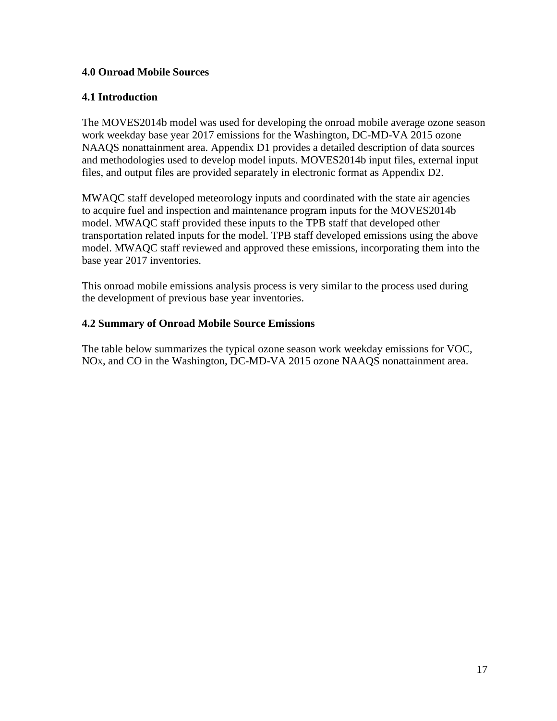### **4.0 Onroad Mobile Sources**

### **4.1 Introduction**

The MOVES2014b model was used for developing the onroad mobile average ozone season work weekday base year 2017 emissions for the Washington, DC-MD-VA 2015 ozone NAAQS nonattainment area. Appendix D1 provides a detailed description of data sources and methodologies used to develop model inputs. MOVES2014b input files, external input files, and output files are provided separately in electronic format as Appendix D2.

MWAQC staff developed meteorology inputs and coordinated with the state air agencies to acquire fuel and inspection and maintenance program inputs for the MOVES2014b model. MWAQC staff provided these inputs to the TPB staff that developed other transportation related inputs for the model. TPB staff developed emissions using the above model. MWAQC staff reviewed and approved these emissions, incorporating them into the base year 2017 inventories.

This onroad mobile emissions analysis process is very similar to the process used during the development of previous base year inventories.

### **4.2 Summary of Onroad Mobile Source Emissions**

The table below summarizes the typical ozone season work weekday emissions for VOC, NOX, and CO in the Washington, DC-MD-VA 2015 ozone NAAQS nonattainment area.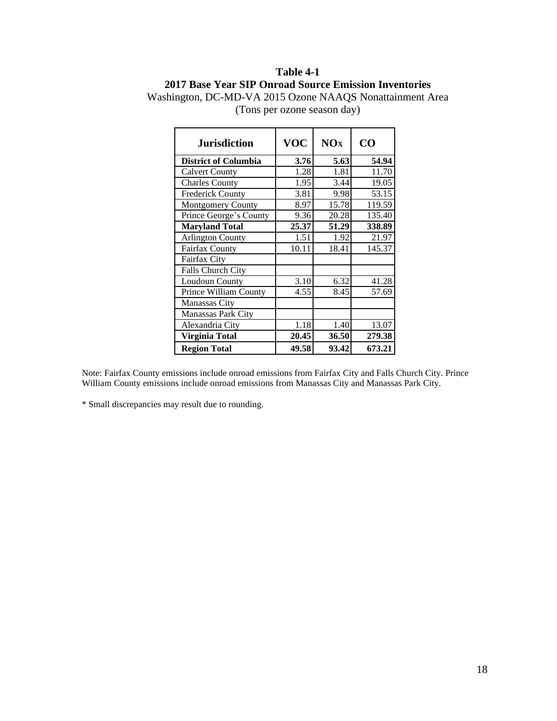# **Table 4-1 2017 Base Year SIP Onroad Source Emission Inventories**

| <b>Jurisdiction</b>         | <b>VOC</b> | <b>NO<sub>x</sub></b> | CO     |
|-----------------------------|------------|-----------------------|--------|
| <b>District of Columbia</b> | 3.76       | 5.63                  | 54.94  |
| <b>Calvert County</b>       | 1.28       | 1.81                  | 11.70  |
| <b>Charles County</b>       | 1.95       | 3.44                  | 19.05  |
| <b>Frederick County</b>     | 3.81       | 9.98                  | 53.15  |
| <b>Montgomery County</b>    | 8.97       | 15.78                 | 119.59 |
| Prince George's County      | 9.36       | 20.28                 | 135.40 |
| <b>Maryland Total</b>       | 25.37      | 51.29                 | 338.89 |
| <b>Arlington County</b>     | 1.51       | 1.92                  | 21.97  |
| Fairfax County              | 10.11      | 18.41                 | 145.37 |
| Fairfax City                |            |                       |        |
| Falls Church City           |            |                       |        |
| <b>Loudoun County</b>       | 3.10       | 6.32                  | 41.28  |
| Prince William County       | 4.55       | 8.45                  | 57.69  |
| Manassas City               |            |                       |        |
| <b>Manassas Park City</b>   |            |                       |        |
| Alexandria City             | 1.18       | 1.40                  | 13.07  |
| Virginia Total              | 20.45      | 36.50                 | 279.38 |
| <b>Region Total</b>         | 49.58      | 93.42                 | 673.21 |

Washington, DC-MD-VA 2015 Ozone NAAQS Nonattainment Area (Tons per ozone season day)

Note: Fairfax County emissions include onroad emissions from Fairfax City and Falls Church City. Prince William County emissions include onroad emissions from Manassas City and Manassas Park City.

\* Small discrepancies may result due to rounding.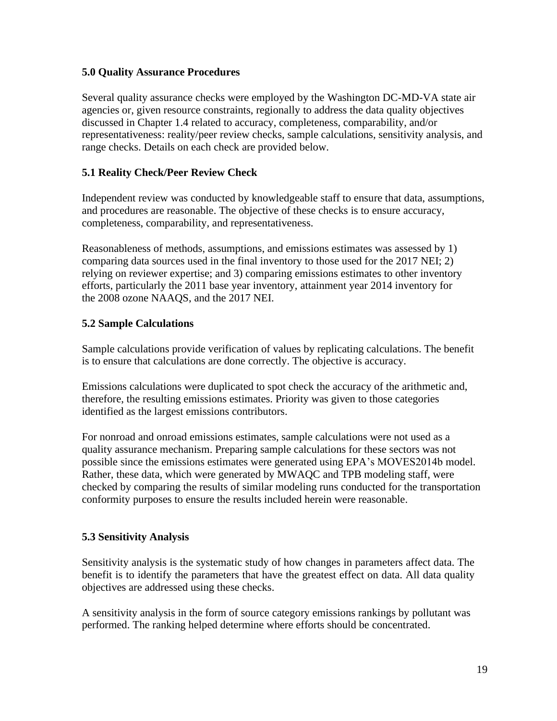### **5.0 Quality Assurance Procedures**

Several quality assurance checks were employed by the Washington DC-MD-VA state air agencies or, given resource constraints, regionally to address the data quality objectives discussed in Chapter 1.4 related to accuracy, completeness, comparability, and/or representativeness: reality/peer review checks, sample calculations, sensitivity analysis, and range checks. Details on each check are provided below.

# **5.1 Reality Check/Peer Review Check**

Independent review was conducted by knowledgeable staff to ensure that data, assumptions, and procedures are reasonable. The objective of these checks is to ensure accuracy, completeness, comparability, and representativeness.

Reasonableness of methods, assumptions, and emissions estimates was assessed by 1) comparing data sources used in the final inventory to those used for the 2017 NEI; 2) relying on reviewer expertise; and 3) comparing emissions estimates to other inventory efforts, particularly the 2011 base year inventory, attainment year 2014 inventory for the 2008 ozone NAAQS, and the 2017 NEI.

### **5.2 Sample Calculations**

Sample calculations provide verification of values by replicating calculations. The benefit is to ensure that calculations are done correctly. The objective is accuracy.

Emissions calculations were duplicated to spot check the accuracy of the arithmetic and, therefore, the resulting emissions estimates. Priority was given to those categories identified as the largest emissions contributors.

For nonroad and onroad emissions estimates, sample calculations were not used as a quality assurance mechanism. Preparing sample calculations for these sectors was not possible since the emissions estimates were generated using EPA's MOVES2014b model. Rather, these data, which were generated by MWAQC and TPB modeling staff, were checked by comparing the results of similar modeling runs conducted for the transportation conformity purposes to ensure the results included herein were reasonable.

### **5.3 Sensitivity Analysis**

Sensitivity analysis is the systematic study of how changes in parameters affect data. The benefit is to identify the parameters that have the greatest effect on data. All data quality objectives are addressed using these checks.

A sensitivity analysis in the form of source category emissions rankings by pollutant was performed. The ranking helped determine where efforts should be concentrated.